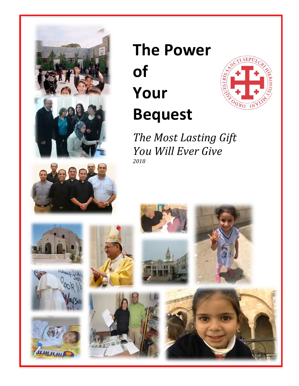

# **The Power of Your Bequest**



**The Most Lasting Gift** *You Will Ever Give 2018*













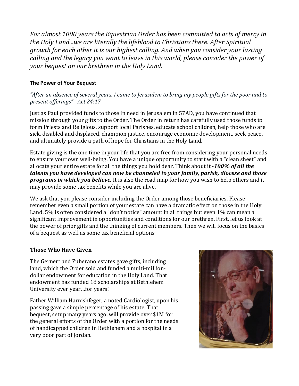For almost 1000 years the Equestrian Order has been committed to acts of mercy in the Holy Land...we are literally the lifeblood to Christians there. After Spiritual *growth for each other it is our highest calling. And when you consider your lasting calling and the legacy you want to leave in this world, please consider the power of your bequest on our brethren in the Holy Land.* 

#### **The Power of Your Bequest**

"After an absence of several years, I came to Jerusalem to bring my people gifts for the poor and to *present offerings" - Act 24:17*

Just as Paul provided funds to those in need in Jerusalem in 57AD, you have continued that mission through your gifts to the Order. The Order in return has carefully used those funds to form Priests and Religious, support local Parishes, educate school children, help those who are sick, disabled and displaced, champion justice, encourage economic development, seek peace, and ultimately provide a path of hope for Christians in the Holy Land.

Estate giving is the one time in your life that you are free from considering your personal needs to ensure your own well-being. You have a unique opportunity to start with a "clean sheet" and allocate your entire estate for all the things you hold dear. Think about it -100% of all the talents you have developed can now be channeled to your family, parish, diocese and those **programs in which you believe.** It is also the road map for how you wish to help others and it may provide some tax benefits while you are alive.

We ask that you please consider including the Order among those beneficiaries. Please remember even a small portion of your estate can have a dramatic effect on those in the Holy Land, 5% is often considered a "don't notice" amount in all things but even 1% can mean a significant improvement in opportunities and conditions for our brethren. First, let us look at the power of prior gifts and the thinking of current members. Then we will focus on the basics of a bequest as well as some tax beneficial options

#### **Those Who Have Given**

The Gernert and Zuberano estates gave gifts, including **The Continued of the Continued of the Continued of the Continued of the Continued of the Continued of the Continued of the Continued of the Continued of the Continued** land, which the Order sold and funded a multi-million- $\text{dollar endowment for education in the Holy Land. That}$ endowment has funded 18 scholarships at Bethlehem<br>Why stated a scholarships at Bethlehem University ever year…for years!

**Father William Harnishfeger, a noted Cardiologist, upon his their communitation of the order on an increase** of appendix the church of the **passing** gave a simple percentage of his estate. That **thing** give a sumple personing of the some set the set of the set of the set of the set of the set of the set of the set of the set of the set of the set of the set of the set of the set of the set of the set of the set o the general efforts of the Order with a portion for the needs **the seems of the seems of the seems of the seems of the seems of the seems of the seems of the seems of the seems of the seems of the seems of the seems of the** of handicapped children in Bethlehem and a hospital in a  $\blacksquare$  very poor part of Jordan.

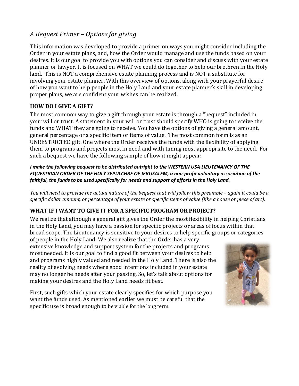# *A Bequest Primer – Options for giving*

This information was developed to provide a primer on ways you might consider including the Order in your estate plans, and, how the Order would manage and use the funds based on your desires. It is our goal to provide you with options you can consider and discuss with your estate planner or lawyer. It is focused on WHAT we could do together to help our brethren in the Holy land. This is NOT a comprehensive estate planning process and is NOT a substitute for involving your estate planner. With this overview of options, along with your prayerful desire of how you want to help people in the Holy Land and your estate planner's skill in developing proper plans, we are confident your wishes can be realized.

#### **HOW DO I GIVE A GIFT?**

The most common way to give a gift through your estate is through a "bequest" included in your will or trust. A statement in your will or trust should specify WHO is going to receive the funds and WHAT they are going to receive. You have the options of giving a general amount, general percentage or a specific item or items of value. The most common form is as an UNRESTRICTED gift. One where the Order receives the funds with the flexibility of applying them to programs and projects most in need and with timing most appropriate to the need. For such a bequest we have the following sample of how it might appear:

*I make the following bequest to be distributed outright to the WESTERN USA LIEUTENANCY OF THE EQUESTRIAN ORDER OF THE HOLY SEPULCHRE OF JERUSALEM, a non-profit voluntary association of the faithful, the funds to be used specifically for needs and support of efforts in the Holy Land.*

*You* will need to provide the actual nature of the bequest that will follow this preamble – again it could be a *specific* dollar amount, or percentage of your estate or specific items of value (like a house or piece of art).

# **WHAT IF I WANT TO GIVE IT FOR A SPECIFIC PROGRAM OR PROJECT?**

We realize that although a general gift gives the Order the most flexibility in helping Christians in the Holy Land, you may have a passion for specific projects or areas of focus within that broad scope. The Lieutenancy is sensitive to your desires to help specific groups or categories

of people in the Holy Land. We also realize that the Order has a very extensive knowledge and support system for the projects and programs most needed. It is our goal to find a good fit between your desires to help and programs highly valued and needed in the Holy Land. There is also the reality of evolving needs where good intentions included in your estate may no longer be needs after your passing. So, let's talk about options for making your desires and the Holy Land needs fit best.

First, such gifts which your estate clearly specifies for which purpose you want the funds used. As mentioned earlier we must be careful that the specific use is broad enough to be viable for the long term.

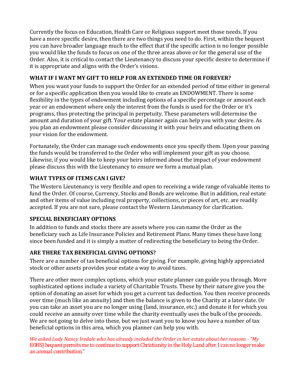Currently the focus on Education, Health Care or Religious support meet those needs. If you have a more specific desire, then there are two things you need to do. First, within the bequest you can have broader language much to the effect that if the specific action is no longer possible you would like the funds to focus on one of the three areas above or for the general use of the Order. Also, it is critical to contact the Lieutenancy to discuss your specific desire to determine if it is appropriate and aligns with the Order's visions.

# WHAT IF I WANT MY GIFT TO HELP FOR AN EXTENDED TIME OR FOREVER?

When you want your funds to support the Order for an extended period of time either in general or for a specific application then you would like to create an ENDOWMENT. There is some flexibility in the types of endowment including options of a specific percentage or amount each year or an endowment where only the interest from the funds is used for the Order or it's programs, thus protecting the principal in perpetuity. These parameters will determine the amount and duration of your gift. Your estate planner again can help you with your desire. As you plan an endowment please consider discussing it with your heirs and educating them on your vision for the endowment.

Fortunately, the Order can manage such endowments once you specify them. Upon your passing the funds would be transferred to the Order who will implement your gift as you choose. Likewise, if you would like to keep your heirs informed about the impact of your endowment please discuss this with the Lieutenancy to ensure we form a mutual plan.

## WHAT TYPES OF ITEMS CAN I GIVE?

The Western Lieutenancy is very flexible and open to receiving a wide range of valuable items to fund the Order. Of course, Currency, Stocks and Bonds are welcome. But in addition, real estate and other items of value including real property, collections, or pieces of art, etc. are readily accepted. If you are not sure, please contact the Western Lieutenancy for clarification.

#### **SPECIAL BENEFICIARY OPTIONS**

In addition to funds and stocks there are assets where you can name the Order as the beneficiary such as Life Insurance Policies and Retirement Plans. Many times these have long since been funded and it is simply a matter of redirecting the beneficiary to being the Order.

# **ARE THERE TAX BENEFICIAL GIVING OPTIONS?**

There are a number of tax beneficial options for giving. For example, giving highly appreciated stock or other assets provides your estate a way to avoid taxes.

There are other more complex options, which your estate planner can guide you through. More sophisticated options include a variety of Charitable Trusts. These by their nature give you the option of donating an asset for which you get a current tax deduction. You then receive proceeds over time (much like an annuity) and then the balance is given to the Charity at a later date. Or you can take an asset you are no longer using (land, insurance, etc.) and donate it for which you could receive an annuity over time while the charity eventually uses the bulk of the proceeds. We are not going to delve into these, but we just want you to know you have a number of tax beneficial options in this area, which you planner can help you with.

*We asked Lady Nancy Iredale who has already included the Order in her estate about her reasons - "My* EOHSJ bequest permits me to continue to support Christianity in the Holy Land after I can no longer make an annual contribution."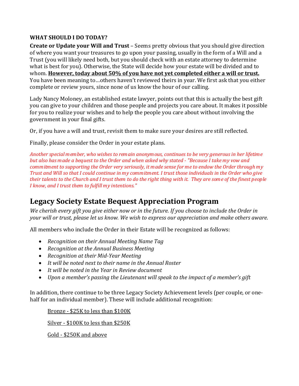## WHAT SHOULD I DO TODAY?

**Create or Update your Will and Trust** – Seems pretty obvious that you should give direction of where you want your treasures to go upon your passing, usually in the form of a Will and a Trust (you will likely need both, but you should check with an estate attorney to determine what is best for you). Otherwise, the State will decide how your estate will be divided and to whom. However, today about 50% of you have not yet completed either a will or trust. You have been meaning to ... others haven't reviewed theirs in year. We first ask that you either complete or review yours, since none of us know the hour of our calling.

Lady Nancy Moloney, an established estate lawyer, points out that this is actually the best gift you can give to your children and those people and projects you care about. It makes it possible for you to realize your wishes and to help the people you care about without involving the government in your final gifts.

Or, if you have a will and trust, revisit them to make sure your desires are still reflected.

Finally, please consider the Order in your estate plans.

*Another special member, who wishes to remain anonymous, continues to be very generous in her lifetime but also has made a bequest to the Order and when asked why stated - "Because I take my vow and commitment* to supporting the Order very seriously, it made sense for me to endow the Order through my *Trust and Will so that I could continue in my commitment. I trust those individuals in the Order who give their* talents to the Church and I trust them to do the right thing with it. They are some of the finest people *I* know, and *I* trust them to fulfill my intentions."

# **Legacy Society Estate Bequest Appreciation Program**

We cherish every gift you give either now or in the future. If you choose to include the Order in *your* will or trust, please let us know. We wish to express our appreciation and make others aware.

All members who include the Order in their Estate will be recognized as follows:

- *Recognition on their Annual Meeting Name Tag*
- *Recognition at the Annual Business Meeting*
- *Recognition at their Mid-Year Meeting*
- It will be noted next to their name in the Annual Roster
- It will be noted in the Year in Review document
- *Upon a member's passing the Lieutenant will speak to the impact of a member's gift*

In addition, there continue to be three Legacy Society Achievement levels (per couple, or onehalf for an individual member). These will include additional recognition:

Bronze - \$25K to less than \$100K

Silver - \$100K to less than \$250K

Gold - \$250K and above